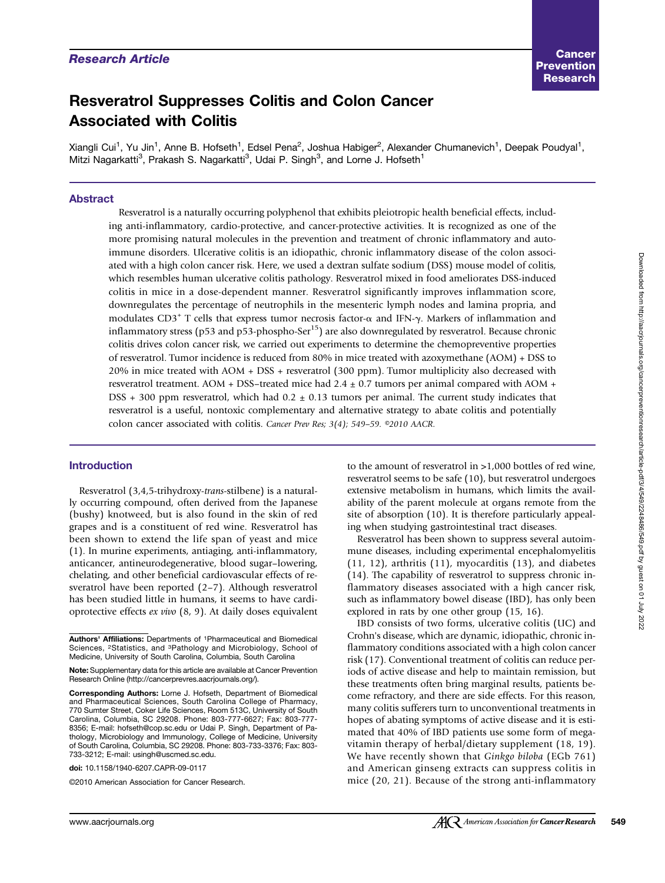# Research Article

# Resveratrol Suppresses Colitis and Colon Cancer Associated with Colitis

Xiangli Cui<sup>1</sup>, Yu Jin<sup>1</sup>, Anne B. Hofseth<sup>1</sup>, Edsel Pena<sup>2</sup>, Joshua Habiger<sup>2</sup>, Alexander Chumanevich<sup>1</sup>, Deepak Poudyal<sup>1</sup>, Mitzi Nagarkatti<sup>3</sup>, Prakash S. Nagarkatti<sup>3</sup>, Udai P. Singh<sup>3</sup>, and Lorne J. Hofseth<sup>1</sup>

## Abstract

Resveratrol is a naturally occurring polyphenol that exhibits pleiotropic health beneficial effects, including anti-inflammatory, cardio-protective, and cancer-protective activities. It is recognized as one of the more promising natural molecules in the prevention and treatment of chronic inflammatory and autoimmune disorders. Ulcerative colitis is an idiopathic, chronic inflammatory disease of the colon associated with a high colon cancer risk. Here, we used a dextran sulfate sodium (DSS) mouse model of colitis, which resembles human ulcerative colitis pathology. Resveratrol mixed in food ameliorates DSS-induced colitis in mice in a dose-dependent manner. Resveratrol significantly improves inflammation score, downregulates the percentage of neutrophils in the mesenteric lymph nodes and lamina propria, and modulates CD3<sup>+</sup> T cells that express tumor necrosis factor- $\alpha$  and IFN- $\gamma$ . Markers of inflammation and inflammatory stress (p53 and p53-phospho-Ser $<sup>15</sup>$ ) are also downregulated by resveratrol. Because chronic</sup> colitis drives colon cancer risk, we carried out experiments to determine the chemopreventive properties of resveratrol. Tumor incidence is reduced from 80% in mice treated with azoxymethane (AOM) + DSS to 20% in mice treated with AOM + DSS + resveratrol (300 ppm). Tumor multiplicity also decreased with resveratrol treatment. AOM + DSS–treated mice had  $2.4 \pm 0.7$  tumors per animal compared with AOM + DSS  $+300$  ppm resveratrol, which had  $0.2 \pm 0.13$  tumors per animal. The current study indicates that resveratrol is a useful, nontoxic complementary and alternative strategy to abate colitis and potentially colon cancer associated with colitis. Cancer Prev Res; 3(4); 549-59. ©2010 AACR.

#### Introduction

Resveratrol (3,4,5-trihydroxy-trans-stilbene) is a naturally occurring compound, often derived from the Japanese (bushy) knotweed, but is also found in the skin of red grapes and is a constituent of red wine. Resveratrol has been shown to extend the life span of yeast and mice (1). In murine experiments, antiaging, anti-inflammatory, anticancer, antineurodegenerative, blood sugar–lowering, chelating, and other beneficial cardiovascular effects of resveratrol have been reported (2–7). Although resveratrol has been studied little in humans, it seems to have cardioprotective effects ex vivo (8, 9). At daily doses equivalent

doi: 10.1158/1940-6207.CAPR-09-0117

©2010 American Association for Cancer Research.

to the amount of resveratrol in >1,000 bottles of red wine, resveratrol seems to be safe (10), but resveratrol undergoes extensive metabolism in humans, which limits the availability of the parent molecule at organs remote from the site of absorption (10). It is therefore particularly appealing when studying gastrointestinal tract diseases.

Resveratrol has been shown to suppress several autoimmune diseases, including experimental encephalomyelitis (11, 12), arthritis (11), myocarditis (13), and diabetes (14). The capability of resveratrol to suppress chronic inflammatory diseases associated with a high cancer risk, such as inflammatory bowel disease (IBD), has only been explored in rats by one other group (15, 16).

IBD consists of two forms, ulcerative colitis (UC) and Crohn's disease, which are dynamic, idiopathic, chronic inflammatory conditions associated with a high colon cancer risk (17). Conventional treatment of colitis can reduce periods of active disease and help to maintain remission, but these treatments often bring marginal results, patients become refractory, and there are side effects. For this reason, many colitis sufferers turn to unconventional treatments in hopes of abating symptoms of active disease and it is estimated that 40% of IBD patients use some form of megavitamin therapy of herbal/dietary supplement (18, 19). We have recently shown that Ginkgo biloba (EGb 761) and American ginseng extracts can suppress colitis in mice (20, 21). Because of the strong anti-inflammatory

Authors' Affiliations: Departments of 1Pharmaceutical and Biomedical Sciences, <sup>2</sup>Statistics, and <sup>3</sup>Pathology and Microbiology, School of Medicine, University of South Carolina, Columbia, South Carolina

Note: Supplementary data for this article are available at Cancer Prevention Research Online (http://cancerprevres.aacrjournals.org/).

Corresponding Authors: Lorne J. Hofseth, Department of Biomedical and Pharmaceutical Sciences, South Carolina College of Pharmacy, 770 Sumter Street, Coker Life Sciences, Room 513C, University of South Carolina, Columbia, SC 29208. Phone: 803-777-6627; Fax: 803-777- 8356; E-mail: hofseth@cop.sc.edu or Udai P. Singh, Department of Pathology, Microbiology and Immunology, College of Medicine, University of South Carolina, Columbia, SC 29208. Phone: 803-733-3376; Fax: 803- 733-3212; E-mail: usingh@uscmed.sc.edu.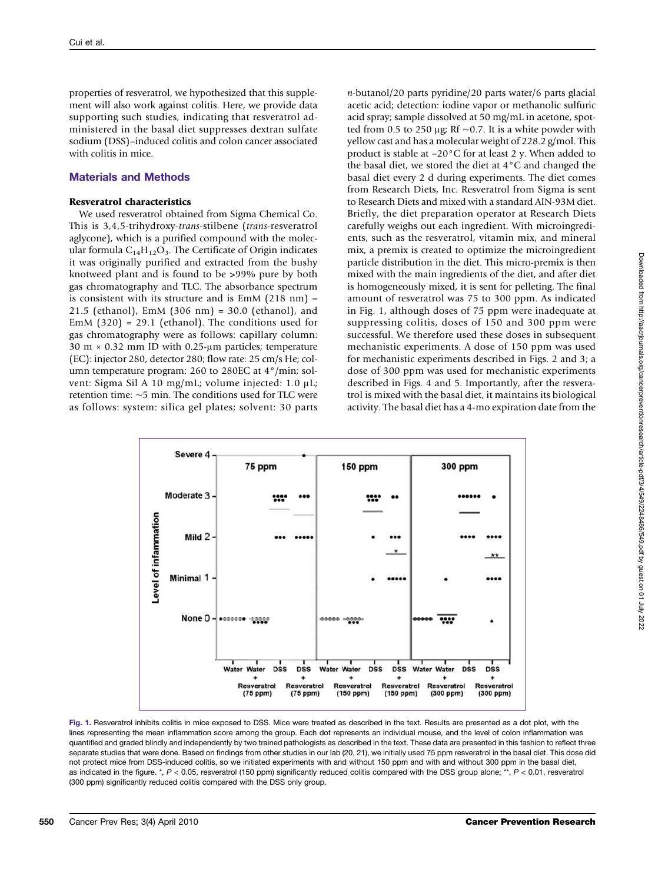properties of resveratrol, we hypothesized that this supplement will also work against colitis. Here, we provide data supporting such studies, indicating that resveratrol administered in the basal diet suppresses dextran sulfate sodium (DSS)–induced colitis and colon cancer associated with colitis in mice.

## Materials and Methods

#### Resveratrol characteristics

We used resveratrol obtained from Sigma Chemical Co. This is 3,4,5-trihydroxy-trans-stilbene (trans-resveratrol aglycone), which is a purified compound with the molecular formula  $C_{14}H_{12}O_3$ . The Certificate of Origin indicates it was originally purified and extracted from the bushy knotweed plant and is found to be >99% pure by both gas chromatography and TLC. The absorbance spectrum is consistent with its structure and is EmM (218 nm) = 21.5 (ethanol), EmM (306 nm) = 30.0 (ethanol), and EmM (320) = 29.1 (ethanol). The conditions used for gas chromatography were as follows: capillary column: 30 m × 0.32 mm ID with 0.25-μm particles; temperature (EC): injector 280, detector 280; flow rate: 25 cm/s He; column temperature program: 260 to 280EC at 4°/min; solvent: Sigma Sil A 10 mg/mL; volume injected: 1.0 μL; retention time: ∼5 min. The conditions used for TLC were as follows: system: silica gel plates; solvent: 30 parts n-butanol/20 parts pyridine/20 parts water/6 parts glacial acetic acid; detection: iodine vapor or methanolic sulfuric acid spray; sample dissolved at 50 mg/mL in acetone, spotted from 0.5 to 250 μg; Rf ∼0.7. It is a white powder with yellow cast and has a molecular weight of 228.2 g/mol. This product is stable at −20°C for at least 2 y. When added to the basal diet, we stored the diet at 4°C and changed the basal diet every 2 d during experiments. The diet comes from Research Diets, Inc. Resveratrol from Sigma is sent to Research Diets and mixed with a standard AIN-93M diet. Briefly, the diet preparation operator at Research Diets carefully weighs out each ingredient. With microingredients, such as the resveratrol, vitamin mix, and mineral mix, a premix is created to optimize the microingredient particle distribution in the diet. This micro-premix is then mixed with the main ingredients of the diet, and after diet is homogeneously mixed, it is sent for pelleting. The final amount of resveratrol was 75 to 300 ppm. As indicated in Fig. 1, although doses of 75 ppm were inadequate at suppressing colitis, doses of 150 and 300 ppm were successful. We therefore used these doses in subsequent mechanistic experiments. A dose of 150 ppm was used for mechanistic experiments described in Figs. 2 and 3; a dose of 300 ppm was used for mechanistic experiments described in Figs. 4 and 5. Importantly, after the resveratrol is mixed with the basal diet, it maintains its biological activity. The basal diet has a 4-mo expiration date from the



Fig. 1. Resveratrol inhibits colitis in mice exposed to DSS. Mice were treated as described in the text. Results are presented as a dot plot, with the lines representing the mean inflammation score among the group. Each dot represents an individual mouse, and the level of colon inflammation was quantified and graded blindly and independently by two trained pathologists as described in the text. These data are presented in this fashion to reflect three separate studies that were done. Based on findings from other studies in our lab (20, 21), we initially used 75 ppm resveratrol in the basal diet. This dose did not protect mice from DSS-induced colitis, so we initiated experiments with and without 150 ppm and with and without 300 ppm in the basal diet, as indicated in the figure. \*, P < 0.05, resveratrol (150 ppm) significantly reduced colitis compared with the DSS group alone; \*\*, P < 0.01, resveratrol (300 ppm) significantly reduced colitis compared with the DSS only group.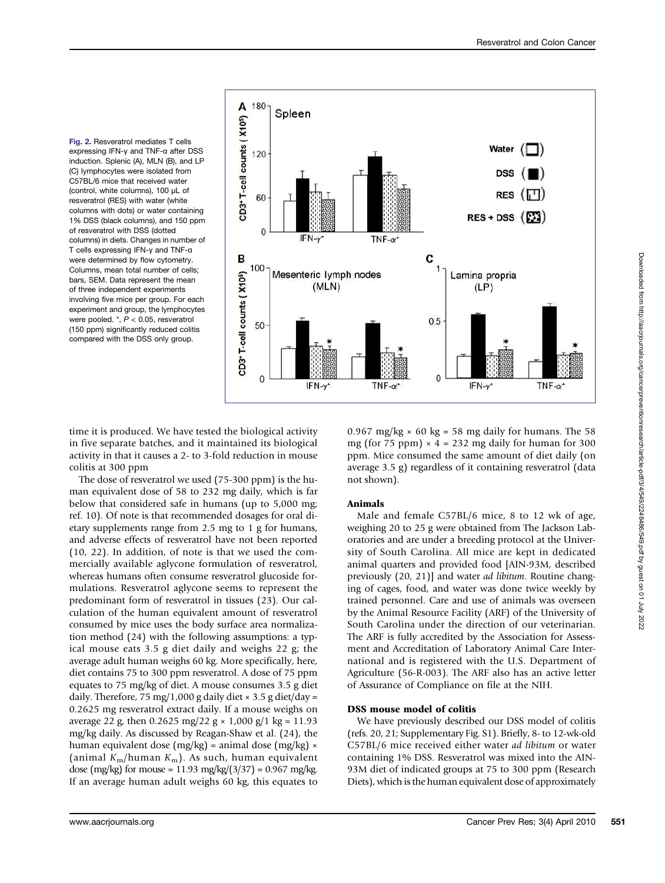Fig. 2. Resveratrol mediates T cells expressing IFN-γ and TNF-α after DSS induction. Splenic (A), MLN (B), and LP (C) lymphocytes were isolated from C57BL/6 mice that received water (control, white columns), 100 μL of resveratrol (RES) with water (white columns with dots) or water containing 1% DSS (black columns), and 150 ppm of resveratrol with DSS (dotted columns) in diets. Changes in number of T cells expressing IFN-γ and TNF-α were determined by flow cytometry. Columns, mean total number of cells; bars, SEM. Data represent the mean of three independent experiments involving five mice per group. For each experiment and group, the lymphocytes were pooled. \*, P < 0.05, resveratrol (150 ppm) significantly reduced colitis compared with the DSS only group.



time it is produced. We have tested the biological activity in five separate batches, and it maintained its biological activity in that it causes a 2- to 3-fold reduction in mouse colitis at 300 ppm

The dose of resveratrol we used (75-300 ppm) is the human equivalent dose of 58 to 232 mg daily, which is far below that considered safe in humans (up to 5,000 mg; ref. 10). Of note is that recommended dosages for oral dietary supplements range from 2.5 mg to 1 g for humans, and adverse effects of resveratrol have not been reported (10, 22). In addition, of note is that we used the commercially available aglycone formulation of resveratrol, whereas humans often consume resveratrol glucoside formulations. Resveratrol aglycone seems to represent the predominant form of resveratrol in tissues (23). Our calculation of the human equivalent amount of resveratrol consumed by mice uses the body surface area normalization method (24) with the following assumptions: a typical mouse eats 3.5 g diet daily and weighs 22 g; the average adult human weighs 60 kg. More specifically, here, diet contains 75 to 300 ppm resveratrol. A dose of 75 ppm equates to 75 mg/kg of diet. A mouse consumes 3.5 g diet daily. Therefore, 75 mg/1,000 g daily diet  $\times$  3.5 g diet/day = 0.2625 mg resveratrol extract daily. If a mouse weighs on average 22 g, then 0.2625 mg/22 g  $\times$  1,000 g/1 kg = 11.93 mg/kg daily. As discussed by Reagan-Shaw et al. (24), the human equivalent dose (mg/kg) = animal dose (mg/kg)  $\times$ (animal  $K_m/h$ uman  $K_m$ ). As such, human equivalent dose (mg/kg) for mouse =  $11.93$  mg/kg/(3/37) =  $0.967$  mg/kg. If an average human adult weighs 60 kg, this equates to 0.967 mg/kg  $\times$  60 kg = 58 mg daily for humans. The 58 mg (for 75 ppm)  $\times$  4 = 232 mg daily for human for 300 ppm. Mice consumed the same amount of diet daily (on average 3.5 g) regardless of it containing resveratrol (data not shown).

## Animals

Male and female C57BL/6 mice, 8 to 12 wk of age, weighing 20 to 25 g were obtained from The Jackson Laboratories and are under a breeding protocol at the University of South Carolina. All mice are kept in dedicated animal quarters and provided food [AIN-93M, described previously (20, 21)] and water *ad libitum*. Routine changing of cages, food, and water was done twice weekly by trained personnel. Care and use of animals was overseen by the Animal Resource Facility (ARF) of the University of South Carolina under the direction of our veterinarian. The ARF is fully accredited by the Association for Assessment and Accreditation of Laboratory Animal Care International and is registered with the U.S. Department of Agriculture (56-R-003). The ARF also has an active letter of Assurance of Compliance on file at the NIH.

## DSS mouse model of colitis

We have previously described our DSS model of colitis (refs. 20, 21; Supplementary Fig. S1). Briefly, 8- to 12-wk-old C57BL/6 mice received either water ad libitum or water containing 1% DSS. Resveratrol was mixed into the AIN-93M diet of indicated groups at 75 to 300 ppm (Research Diets), which is the human equivalent dose of approximately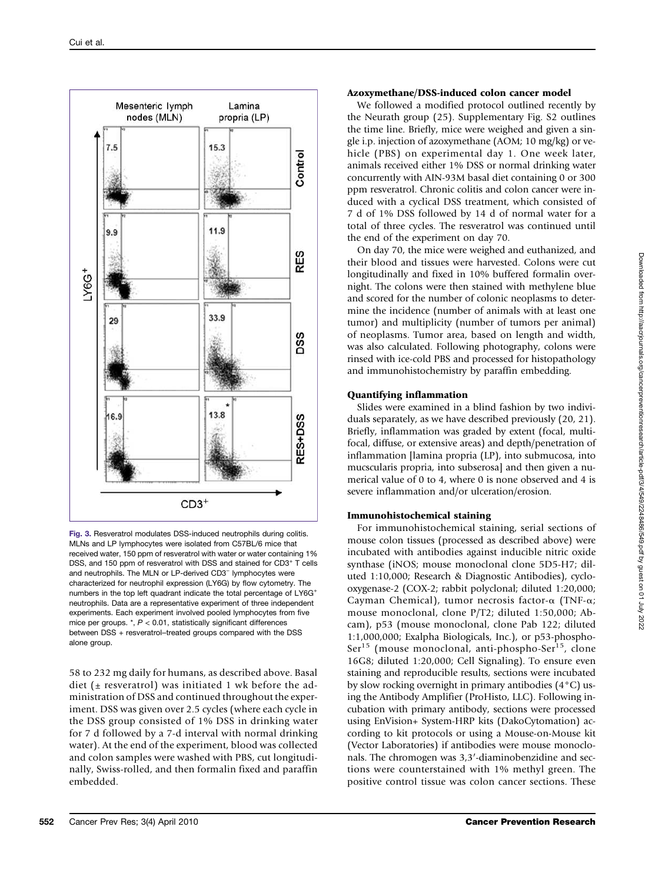

Fig. 3. Resveratrol modulates DSS-induced neutrophils during colitis. MLNs and LP lymphocytes were isolated from C57BL/6 mice that received water, 150 ppm of resveratrol with water or water containing 1% DSS, and 150 ppm of resveratrol with DSS and stained for CD3<sup>+</sup> T cells and neutrophils. The MLN or LP-derived CD3<sup>−</sup> lymphocytes were characterized for neutrophil expression (LY6G) by flow cytometry. The numbers in the top left quadrant indicate the total percentage of LY6G<sup>+</sup> neutrophils. Data are a representative experiment of three independent experiments. Each experiment involved pooled lymphocytes from five mice per groups.  $*$ ,  $P < 0.01$ , statistically significant differences between DSS + resveratrol–treated groups compared with the DSS alone group.

58 to 232 mg daily for humans, as described above. Basal diet ( $\pm$  resveratrol) was initiated 1 wk before the administration of DSS and continued throughout the experiment. DSS was given over 2.5 cycles (where each cycle in the DSS group consisted of 1% DSS in drinking water for 7 d followed by a 7-d interval with normal drinking water). At the end of the experiment, blood was collected and colon samples were washed with PBS, cut longitudinally, Swiss-rolled, and then formalin fixed and paraffin embedded.

## Azoxymethane/DSS-induced colon cancer model

We followed a modified protocol outlined recently by the Neurath group (25). Supplementary Fig. S2 outlines the time line. Briefly, mice were weighed and given a single i.p. injection of azoxymethane (AOM; 10 mg/kg) or vehicle (PBS) on experimental day 1. One week later, animals received either 1% DSS or normal drinking water concurrently with AIN-93M basal diet containing 0 or 300 ppm resveratrol. Chronic colitis and colon cancer were induced with a cyclical DSS treatment, which consisted of 7 d of 1% DSS followed by 14 d of normal water for a total of three cycles. The resveratrol was continued until the end of the experiment on day 70.

On day 70, the mice were weighed and euthanized, and their blood and tissues were harvested. Colons were cut longitudinally and fixed in 10% buffered formalin overnight. The colons were then stained with methylene blue and scored for the number of colonic neoplasms to determine the incidence (number of animals with at least one tumor) and multiplicity (number of tumors per animal) of neoplasms. Tumor area, based on length and width, was also calculated. Following photography, colons were rinsed with ice-cold PBS and processed for histopathology and immunohistochemistry by paraffin embedding.

## Quantifying inflammation

Slides were examined in a blind fashion by two individuals separately, as we have described previously (20, 21). Briefly, inflammation was graded by extent (focal, multifocal, diffuse, or extensive areas) and depth/penetration of inflammation [lamina propria (LP), into submucosa, into mucscularis propria, into subserosa] and then given a numerical value of 0 to 4, where 0 is none observed and 4 is severe inflammation and/or ulceration/erosion.

## Immunohistochemical staining

For immunohistochemical staining, serial sections of mouse colon tissues (processed as described above) were incubated with antibodies against inducible nitric oxide synthase (iNOS; mouse monoclonal clone 5D5-H7; diluted 1:10,000; Research & Diagnostic Antibodies), cyclooxygenase-2 (COX-2; rabbit polyclonal; diluted 1:20,000; Cayman Chemical), tumor necrosis factor-α (TNF-α; mouse monoclonal, clone P/T2; diluted 1:50,000; Abcam), p53 (mouse monoclonal, clone Pab 122; diluted 1:1,000,000; Exalpha Biologicals, Inc.), or p53-phospho- $Ser<sup>15</sup>$  (mouse monoclonal, anti-phospho-Ser<sup>15</sup>, clone 16G8; diluted 1:20,000; Cell Signaling). To ensure even staining and reproducible results, sections were incubated by slow rocking overnight in primary antibodies (4°C) using the Antibody Amplifier (ProHisto, LLC). Following incubation with primary antibody, sections were processed using EnVision+ System-HRP kits (DakoCytomation) according to kit protocols or using a Mouse-on-Mouse kit (Vector Laboratories) if antibodies were mouse monoclonals. The chromogen was 3,3′-diaminobenzidine and sections were counterstained with 1% methyl green. The positive control tissue was colon cancer sections. These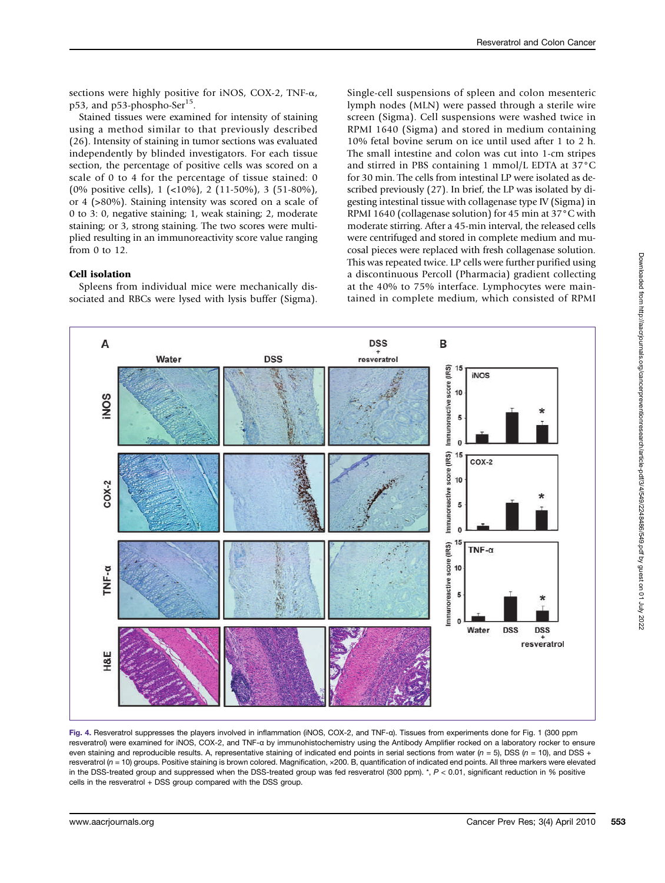sections were highly positive for iNOS, COX-2, TNF-α, p53, and p53-phospho-Ser<sup>15</sup>.

Stained tissues were examined for intensity of staining using a method similar to that previously described (26). Intensity of staining in tumor sections was evaluated independently by blinded investigators. For each tissue section, the percentage of positive cells was scored on a scale of 0 to 4 for the percentage of tissue stained: 0 (0% positive cells), 1 (<10%), 2 (11-50%), 3 (51-80%), or 4 (>80%). Staining intensity was scored on a scale of 0 to 3: 0, negative staining; 1, weak staining; 2, moderate staining; or 3, strong staining. The two scores were multiplied resulting in an immunoreactivity score value ranging from 0 to 12.

## Cell isolation

Spleens from individual mice were mechanically dissociated and RBCs were lysed with lysis buffer (Sigma).

Single-cell suspensions of spleen and colon mesenteric lymph nodes (MLN) were passed through a sterile wire screen (Sigma). Cell suspensions were washed twice in RPMI 1640 (Sigma) and stored in medium containing 10% fetal bovine serum on ice until used after 1 to 2 h. The small intestine and colon was cut into 1-cm stripes and stirred in PBS containing 1 mmol/L EDTA at 37°C for 30 min. The cells from intestinal LP were isolated as described previously (27). In brief, the LP was isolated by digesting intestinal tissue with collagenase type IV (Sigma) in RPMI 1640 (collagenase solution) for 45 min at 37°C with moderate stirring. After a 45-min interval, the released cells were centrifuged and stored in complete medium and mucosal pieces were replaced with fresh collagenase solution. This was repeated twice. LP cells were further purified using a discontinuous Percoll (Pharmacia) gradient collecting at the 40% to 75% interface. Lymphocytes were maintained in complete medium, which consisted of RPMI



Fig. 4. Resveratrol suppresses the players involved in inflammation (iNOS, COX-2, and TNF-α). Tissues from experiments done for Fig. 1 (300 ppm resveratrol) were examined for iNOS, COX-2, and TNF-α by immunohistochemistry using the Antibody Amplifier rocked on a laboratory rocker to ensure even staining and reproducible results. A, representative staining of indicated end points in serial sections from water ( $n = 5$ ), DSS ( $n = 10$ ), and DSS + resveratrol (n = 10) groups. Positive staining is brown colored. Magnification, ×200. B, quantification of indicated end points. All three markers were elevated in the DSS-treated group and suppressed when the DSS-treated group was fed resveratrol (300 ppm). \*, P < 0.01, significant reduction in % positive cells in the resveratrol + DSS group compared with the DSS group.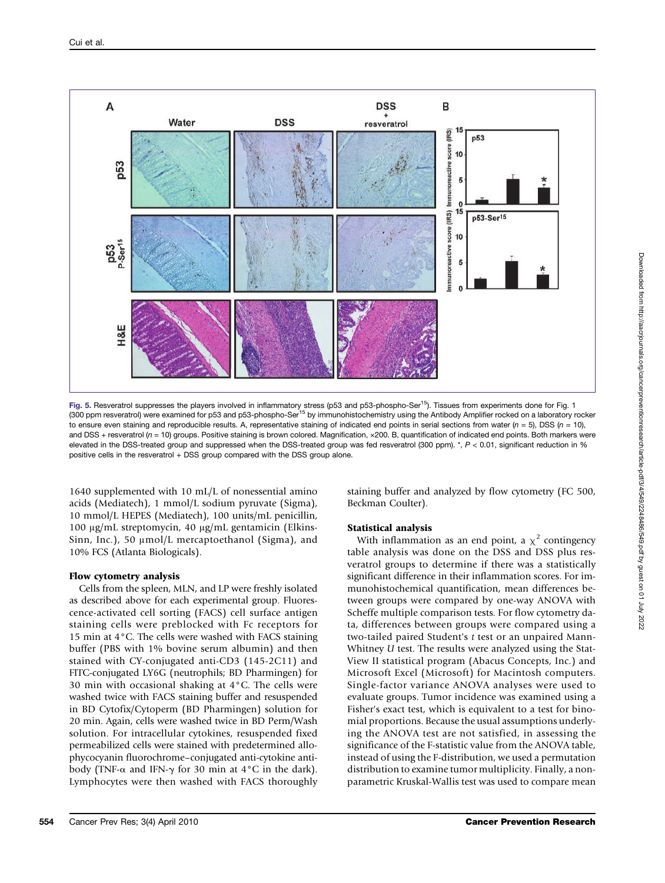

Fig. 5. Resveratrol suppresses the players involved in inflammatory stress (p53 and p53-phospho-Ser<sup>15</sup>). Tissues from experiments done for Fig. 1 (300 ppm resveratrol) were examined for p53 and p53-phospho-Ser<sup>15</sup> by immunohistochemistry using the Antibody Amplifier rocked on a laboratory rocker to ensure even staining and reproducible results. A, representative staining of indicated end points in serial sections from water  $(n = 5)$ . DSS  $(n = 10)$ . and DSS + resveratrol ( $n = 10$ ) groups. Positive staining is brown colored. Magnification,  $\times$ 200. B, quantification of indicated end points. Both markers were elevated in the DSS-treated group and suppressed when the DSS-treated group was fed resveratrol (300 ppm). \*, P < 0.01, significant reduction in % positive cells in the resveratrol + DSS group compared with the DSS group alone.

1640 supplemented with 10 mL/L of nonessential amino acids (Mediatech), 1 mmol/L sodium pyruvate (Sigma), 10 mmol/L HEPES (Mediatech), 100 units/mL penicillin, 100 μg/mL streptomycin, 40 μg/mL gentamicin (Elkins-Sinn, Inc.), 50 μmol/L mercaptoethanol (Sigma), and 10% FCS (Atlanta Biologicals).

## Flow cytometry analysis

Cells from the spleen, MLN, and LP were freshly isolated as described above for each experimental group. Fluorescence-activated cell sorting (FACS) cell surface antigen staining cells were preblocked with Fc receptors for 15 min at 4°C. The cells were washed with FACS staining buffer (PBS with 1% bovine serum albumin) and then stained with CY-conjugated anti-CD3 (145-2C11) and FITC-conjugated LY6G (neutrophils; BD Pharmingen) for 30 min with occasional shaking at 4°C. The cells were washed twice with FACS staining buffer and resuspended in BD Cytofix/Cytoperm (BD Pharmingen) solution for 20 min. Again, cells were washed twice in BD Perm/Wash solution. For intracellular cytokines, resuspended fixed permeabilized cells were stained with predetermined allophycocyanin fluorochrome–conjugated anti-cytokine antibody (TNF- $\alpha$  and IFN- $\gamma$  for 30 min at 4°C in the dark). Lymphocytes were then washed with FACS thoroughly

staining buffer and analyzed by flow cytometry (FC 500, Beckman Coulter).

## Statistical analysis

With inflammation as an end point, a  $\chi^2$  contingency table analysis was done on the DSS and DSS plus resveratrol groups to determine if there was a statistically significant difference in their inflammation scores. For immunohistochemical quantification, mean differences between groups were compared by one-way ANOVA with Scheffe multiple comparison tests. For flow cytometry data, differences between groups were compared using a two-tailed paired Student's t test or an unpaired Mann-Whitney U test. The results were analyzed using the Stat-View II statistical program (Abacus Concepts, Inc.) and Microsoft Excel (Microsoft) for Macintosh computers. Single-factor variance ANOVA analyses were used to evaluate groups. Tumor incidence was examined using a Fisher's exact test, which is equivalent to a test for binomial proportions. Because the usual assumptions underlying the ANOVA test are not satisfied, in assessing the significance of the F-statistic value from the ANOVA table, instead of using the F-distribution, we used a permutation distribution to examine tumor multiplicity. Finally, a nonparametric Kruskal-Wallis test was used to compare mean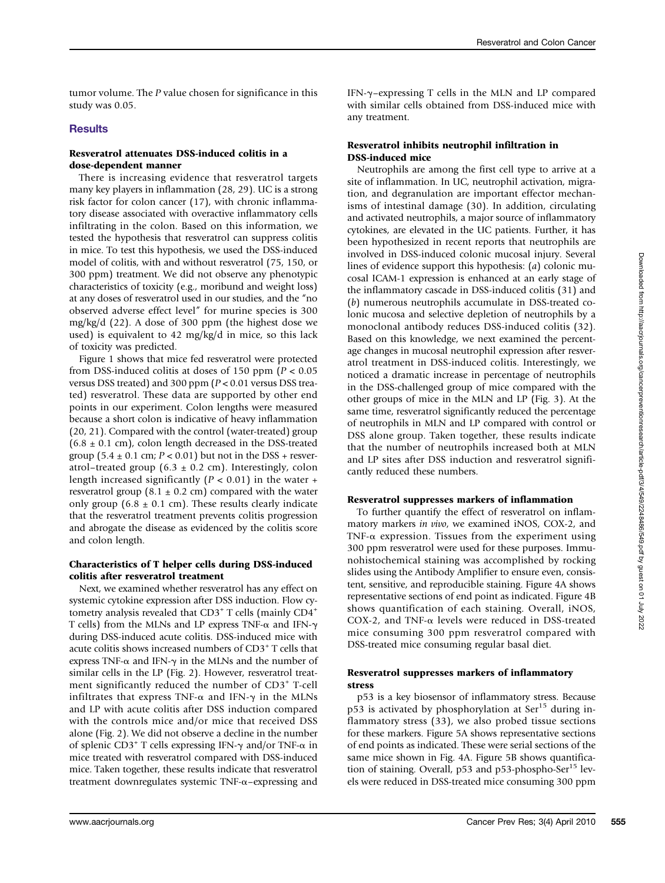tumor volume. The P value chosen for significance in this study was 0.05.

#### **Results**

#### Resveratrol attenuates DSS-induced colitis in a dose-dependent manner

There is increasing evidence that resveratrol targets many key players in inflammation (28, 29). UC is a strong risk factor for colon cancer (17), with chronic inflammatory disease associated with overactive inflammatory cells infiltrating in the colon. Based on this information, we tested the hypothesis that resveratrol can suppress colitis in mice. To test this hypothesis, we used the DSS-induced model of colitis, with and without resveratrol (75, 150, or 300 ppm) treatment. We did not observe any phenotypic characteristics of toxicity (e.g., moribund and weight loss) at any doses of resveratrol used in our studies, and the "no observed adverse effect level" for murine species is 300 mg/kg/d (22). A dose of 300 ppm (the highest dose we used) is equivalent to 42 mg/kg/d in mice, so this lack of toxicity was predicted.

Figure 1 shows that mice fed resveratrol were protected from DSS-induced colitis at doses of 150 ppm ( $P < 0.05$ ) versus DSS treated) and 300 ppm  $(P < 0.01$  versus DSS treated) resveratrol. These data are supported by other end points in our experiment. Colon lengths were measured because a short colon is indicative of heavy inflammation (20, 21). Compared with the control (water-treated) group  $(6.8 \pm 0.1 \text{ cm})$ , colon length decreased in the DSS-treated group (5.4  $\pm$  0.1 cm;  $P < 0.01$ ) but not in the DSS + resveratrol–treated group (6.3  $\pm$  0.2 cm). Interestingly, colon length increased significantly ( $P < 0.01$ ) in the water + resveratrol group (8.1  $\pm$  0.2 cm) compared with the water only group (6.8  $\pm$  0.1 cm). These results clearly indicate that the resveratrol treatment prevents colitis progression and abrogate the disease as evidenced by the colitis score and colon length.

#### Characteristics of T helper cells during DSS-induced colitis after resveratrol treatment

Next, we examined whether resveratrol has any effect on systemic cytokine expression after DSS induction. Flow cytometry analysis revealed that  $CD3^+$  T cells (mainly  $CD4^+$ T cells) from the MLNs and LP express TNF-α and IFN-γ during DSS-induced acute colitis. DSS-induced mice with acute colitis shows increased numbers of CD3<sup>+</sup> T cells that express TNF- $\alpha$  and IFN- $\gamma$  in the MLNs and the number of similar cells in the LP (Fig. 2). However, resveratrol treatment significantly reduced the number of CD3<sup>+</sup> T-cell infiltrates that express TNF- $\alpha$  and IFN- $\gamma$  in the MLNs and LP with acute colitis after DSS induction compared with the controls mice and/or mice that received DSS alone (Fig. 2). We did not observe a decline in the number of splenic CD3<sup>+</sup> T cells expressing IFN-γ and/or TNF-α in mice treated with resveratrol compared with DSS-induced mice. Taken together, these results indicate that resveratrol treatment downregulates systemic TNF-α–expressing and

IFN-γ–expressing T cells in the MLN and LP compared with similar cells obtained from DSS-induced mice with any treatment.

#### Resveratrol inhibits neutrophil infiltration in DSS-induced mice

Neutrophils are among the first cell type to arrive at a site of inflammation. In UC, neutrophil activation, migration, and degranulation are important effector mechanisms of intestinal damage (30). In addition, circulating and activated neutrophils, a major source of inflammatory cytokines, are elevated in the UC patients. Further, it has been hypothesized in recent reports that neutrophils are involved in DSS-induced colonic mucosal injury. Several lines of evidence support this hypothesis: (a) colonic mucosal ICAM-1 expression is enhanced at an early stage of the inflammatory cascade in DSS-induced colitis (31) and (b) numerous neutrophils accumulate in DSS-treated colonic mucosa and selective depletion of neutrophils by a monoclonal antibody reduces DSS-induced colitis (32). Based on this knowledge, we next examined the percentage changes in mucosal neutrophil expression after resveratrol treatment in DSS-induced colitis. Interestingly, we noticed a dramatic increase in percentage of neutrophils in the DSS-challenged group of mice compared with the other groups of mice in the MLN and LP (Fig. 3). At the same time, resveratrol significantly reduced the percentage of neutrophils in MLN and LP compared with control or DSS alone group. Taken together, these results indicate that the number of neutrophils increased both at MLN and LP sites after DSS induction and resveratrol significantly reduced these numbers.

#### Resveratrol suppresses markers of inflammation

To further quantify the effect of resveratrol on inflammatory markers in vivo, we examined iNOS, COX-2, and TNF- $\alpha$  expression. Tissues from the experiment using 300 ppm resveratrol were used for these purposes. Immunohistochemical staining was accomplished by rocking slides using the Antibody Amplifier to ensure even, consistent, sensitive, and reproducible staining. Figure 4A shows representative sections of end point as indicated. Figure 4B shows quantification of each staining. Overall, iNOS, COX-2, and TNF-α levels were reduced in DSS-treated mice consuming 300 ppm resveratrol compared with DSS-treated mice consuming regular basal diet.

#### Resveratrol suppresses markers of inflammatory stress

p53 is a key biosensor of inflammatory stress. Because p53 is activated by phosphorylation at Ser<sup>15</sup> during inflammatory stress (33), we also probed tissue sections for these markers. Figure 5A shows representative sections of end points as indicated. These were serial sections of the same mice shown in Fig. 4A. Figure 5B shows quantification of staining. Overall,  $p53$  and  $p53$ -phospho-Ser<sup>15</sup> levels were reduced in DSS-treated mice consuming 300 ppm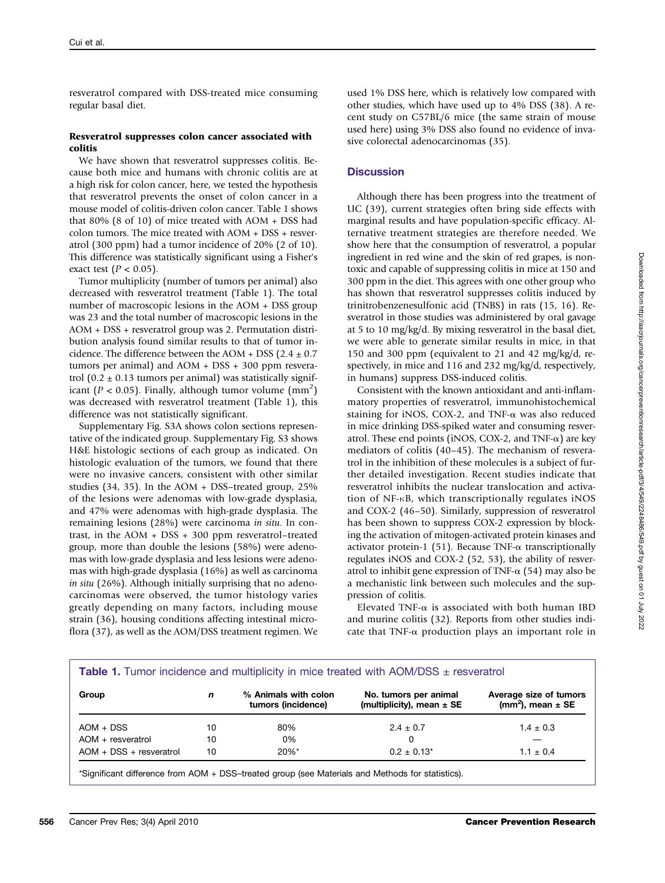resveratrol compared with DSS-treated mice consuming regular basal diet.

### Resveratrol suppresses colon cancer associated with colitis

We have shown that resveratrol suppresses colitis. Because both mice and humans with chronic colitis are at a high risk for colon cancer, here, we tested the hypothesis that resveratrol prevents the onset of colon cancer in a mouse model of colitis-driven colon cancer. Table 1 shows that 80% (8 of 10) of mice treated with AOM + DSS had colon tumors. The mice treated with AOM + DSS + resveratrol (300 ppm) had a tumor incidence of 20% (2 of 10). This difference was statistically significant using a Fisher's exact test  $(P < 0.05)$ .

Tumor multiplicity (number of tumors per animal) also decreased with resveratrol treatment (Table 1). The total number of macroscopic lesions in the AOM + DSS group was 23 and the total number of macroscopic lesions in the AOM + DSS + resveratrol group was 2. Permutation distribution analysis found similar results to that of tumor incidence. The difference between the AOM + DSS ( $2.4 \pm 0.7$ ) tumors per animal) and AOM + DSS + 300 ppm resveratrol (0.2  $\pm$  0.13 tumors per animal) was statistically significant ( $P < 0.05$ ). Finally, although tumor volume (mm<sup>2</sup>) was decreased with resveratrol treatment (Table 1), this difference was not statistically significant.

Supplementary Fig. S3A shows colon sections representative of the indicated group. Supplementary Fig. S3 shows H&E histologic sections of each group as indicated. On histologic evaluation of the tumors, we found that there were no invasive cancers, consistent with other similar studies (34, 35). In the AOM + DSS–treated group, 25% of the lesions were adenomas with low-grade dysplasia, and 47% were adenomas with high-grade dysplasia. The remaining lesions (28%) were carcinoma in situ. In contrast, in the AOM + DSS + 300 ppm resveratrol–treated group, more than double the lesions (58%) were adenomas with low-grade dysplasia and less lesions were adenomas with high-grade dysplasia (16%) as well as carcinoma in situ (26%). Although initially surprising that no adenocarcinomas were observed, the tumor histology varies greatly depending on many factors, including mouse strain (36), housing conditions affecting intestinal microflora (37), as well as the AOM/DSS treatment regimen. We

used 1% DSS here, which is relatively low compared with other studies, which have used up to 4% DSS (38). A recent study on C57BL/6 mice (the same strain of mouse used here) using 3% DSS also found no evidence of invasive colorectal adenocarcinomas (35).

# **Discussion**

Although there has been progress into the treatment of UC (39), current strategies often bring side effects with marginal results and have population-specific efficacy. Alternative treatment strategies are therefore needed. We show here that the consumption of resveratrol, a popular ingredient in red wine and the skin of red grapes, is nontoxic and capable of suppressing colitis in mice at 150 and 300 ppm in the diet. This agrees with one other group who has shown that resveratrol suppresses colitis induced by trinitrobenzenesulfonic acid (TNBS) in rats (15, 16). Resveratrol in those studies was administered by oral gavage at 5 to 10 mg/kg/d. By mixing resveratrol in the basal diet, we were able to generate similar results in mice, in that 150 and 300 ppm (equivalent to 21 and 42 mg/kg/d, respectively, in mice and 116 and 232 mg/kg/d, respectively, in humans) suppress DSS-induced colitis.

Consistent with the known antioxidant and anti-inflammatory properties of resveratrol, immunohistochemical staining for iNOS, COX-2, and TNF-α was also reduced in mice drinking DSS-spiked water and consuming resveratrol. These end points (iNOS, COX-2, and TNF- $\alpha$ ) are key mediators of colitis (40–45). The mechanism of resveratrol in the inhibition of these molecules is a subject of further detailed investigation. Recent studies indicate that resveratrol inhibits the nuclear translocation and activation of NF-κB, which transcriptionally regulates iNOS and COX-2 (46–50). Similarly, suppression of resveratrol has been shown to suppress COX-2 expression by blocking the activation of mitogen-activated protein kinases and activator protein-1 (51). Because TNF- $\alpha$  transcriptionally regulates iNOS and COX-2 (52, 53), the ability of resveratrol to inhibit gene expression of TNF- $\alpha$  (54) may also be a mechanistic link between such molecules and the suppression of colitis.

Elevated TNF- $\alpha$  is associated with both human IBD and murine colitis (32). Reports from other studies indicate that TNF- $\alpha$  production plays an important role in

| <b>Table 1.</b> Tumor incidence and multiplicity in mice treated with AOM/DSS $\pm$ resveratrol |    |                                            |                                                        |                                                   |
|-------------------------------------------------------------------------------------------------|----|--------------------------------------------|--------------------------------------------------------|---------------------------------------------------|
| Group                                                                                           | n  | % Animals with colon<br>tumors (incidence) | No. tumors per animal<br>(multiplicity), mean $\pm$ SE | Average size of tumors<br>$(mm2)$ , mean $\pm$ SE |
| $AOM + DSS$                                                                                     | 10 | 80%                                        | $2.4 \pm 0.7$                                          | $1.4 \pm 0.3$                                     |
| $AOM +$ resveratrol                                                                             | 10 | 0%                                         | 0                                                      |                                                   |
| $AOM + DSS + resveratrol$                                                                       | 10 | $20\%$ *                                   | $0.2 \pm 0.13^*$                                       | $1.1 + 0.4$                                       |

\*Significant difference from AOM + DSS–treated group (see Materials and Methods for statistics).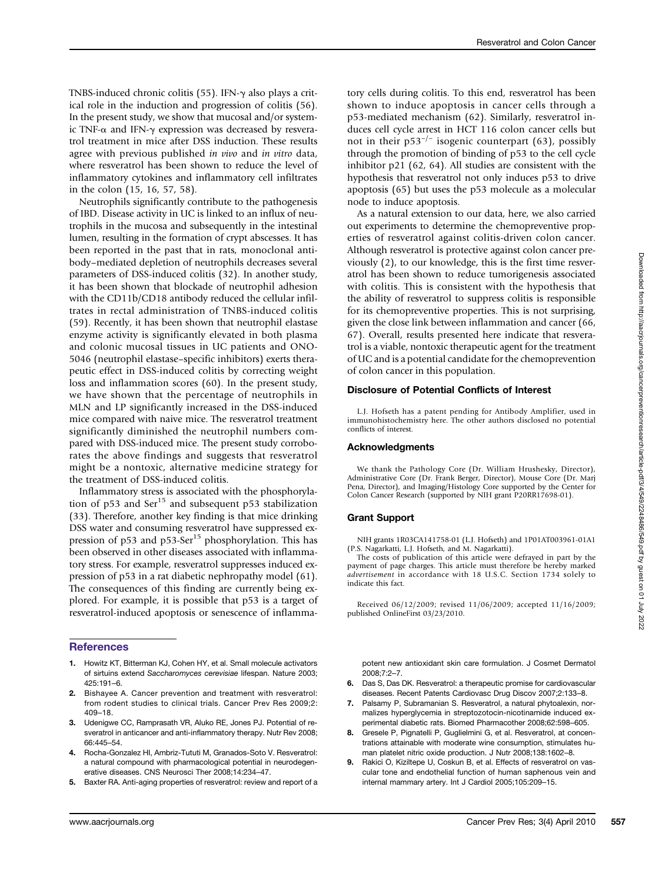TNBS-induced chronic colitis (55). IFN-γ also plays a critical role in the induction and progression of colitis (56). In the present study, we show that mucosal and/or systemic TNF-α and IFN-γ expression was decreased by resveratrol treatment in mice after DSS induction. These results agree with previous published in vivo and in vitro data, where resveratrol has been shown to reduce the level of inflammatory cytokines and inflammatory cell infiltrates in the colon (15, 16, 57, 58).

Neutrophils significantly contribute to the pathogenesis of IBD. Disease activity in UC is linked to an influx of neutrophils in the mucosa and subsequently in the intestinal lumen, resulting in the formation of crypt abscesses. It has been reported in the past that in rats, monoclonal antibody–mediated depletion of neutrophils decreases several parameters of DSS-induced colitis (32). In another study, it has been shown that blockade of neutrophil adhesion with the CD11b/CD18 antibody reduced the cellular infiltrates in rectal administration of TNBS-induced colitis (59). Recently, it has been shown that neutrophil elastase enzyme activity is significantly elevated in both plasma and colonic mucosal tissues in UC patients and ONO-5046 (neutrophil elastase–specific inhibitors) exerts therapeutic effect in DSS-induced colitis by correcting weight loss and inflammation scores (60). In the present study, we have shown that the percentage of neutrophils in MLN and LP significantly increased in the DSS-induced mice compared with naive mice. The resveratrol treatment significantly diminished the neutrophil numbers compared with DSS-induced mice. The present study corroborates the above findings and suggests that resveratrol might be a nontoxic, alternative medicine strategy for the treatment of DSS-induced colitis.

Inflammatory stress is associated with the phosphorylation of  $p53$  and Ser<sup>15</sup> and subsequent  $p53$  stabilization (33). Therefore, another key finding is that mice drinking DSS water and consuming resveratrol have suppressed expression of p53 and p53-Ser<sup>15</sup> phosphorylation. This has been observed in other diseases associated with inflammatory stress. For example, resveratrol suppresses induced expression of p53 in a rat diabetic nephropathy model (61). The consequences of this finding are currently being explored. For example, it is possible that p53 is a target of resveratrol-induced apoptosis or senescence of inflamma-

## **References**

- 1. Howitz KT, Bitterman KJ, Cohen HY, et al. Small molecule activators of sirtuins extend Saccharomyces cerevisiae lifespan. Nature 2003: 425:191–6.
- 2. Bishayee A. Cancer prevention and treatment with resveratrol: from rodent studies to clinical trials. Cancer Prev Res 2009;2: 409–18.
- 3. Udenigwe CC, Ramprasath VR, Aluko RE, Jones PJ. Potential of resveratrol in anticancer and anti-inflammatory therapy. Nutr Rev 2008; 66:445–54.
- 4. Rocha-Gonzalez HI, Ambriz-Tututi M, Granados-Soto V. Resveratrol: a natural compound with pharmacological potential in neurodegenerative diseases. CNS Neurosci Ther 2008;14:234–47.
- 5. Baxter RA. Anti-aging properties of resveratrol: review and report of a

## tory cells during colitis. To this end, resveratrol has been shown to induce apoptosis in cancer cells through a p53-mediated mechanism (62). Similarly, resveratrol induces cell cycle arrest in HCT 116 colon cancer cells but not in their p53<sup>-/-</sup> isogenic counterpart (63), possibly through the promotion of binding of p53 to the cell cycle inhibitor p21 (62, 64). All studies are consistent with the hypothesis that resveratrol not only induces p53 to drive apoptosis (65) but uses the p53 molecule as a molecular node to induce apoptosis.

As a natural extension to our data, here, we also carried out experiments to determine the chemopreventive properties of resveratrol against colitis-driven colon cancer. Although resveratrol is protective against colon cancer previously (2), to our knowledge, this is the first time resveratrol has been shown to reduce tumorigenesis associated with colitis. This is consistent with the hypothesis that the ability of resveratrol to suppress colitis is responsible for its chemopreventive properties. This is not surprising, given the close link between inflammation and cancer (66, 67). Overall, results presented here indicate that resveratrol is a viable, nontoxic therapeutic agent for the treatment of UC and is a potential candidate for the chemoprevention of colon cancer in this population.

#### Disclosure of Potential Conflicts of Interest

L.J. Hofseth has a patent pending for Antibody Amplifier, used in immunohistochemistry here. The other authors disclosed no potential conflicts of interest.

#### Acknowledgments

We thank the Pathology Core (Dr. William Hrushesky, Director), Administrative Core (Dr. Frank Berger, Director), Mouse Core (Dr. Marj Pena, Director), and Imaging/Histology Core supported by the Center for Colon Cancer Research (supported by NIH grant P20RR17698-01).

#### Grant Support

NIH grants 1R03CA141758-01 (L.J. Hofseth) and 1P01AT003961-01A1 (P.S. Nagarkatti, L.J. Hofseth, and M. Nagarkatti).

The costs of publication of this article were defrayed in part by the payment of page charges. This article must therefore be hereby marked advertisement in accordance with 18 U.S.C. Section 1734 solely to indicate this fact.

Received 06/12/2009; revised 11/06/2009; accepted 11/16/2009; published OnlineFirst 03/23/2010.

potent new antioxidant skin care formulation. J Cosmet Dermatol 2008;7:2–7.

- 6. Das S, Das DK. Resveratrol: a therapeutic promise for cardiovascular diseases. Recent Patents Cardiovasc Drug Discov 2007;2:133–8.
- 7. Palsamy P, Subramanian S. Resveratrol, a natural phytoalexin, normalizes hyperglycemia in streptozotocin-nicotinamide induced experimental diabetic rats. Biomed Pharmacother 2008;62:598–605.
- 8. Gresele P, Pignatelli P, Guglielmini G, et al. Resveratrol, at concentrations attainable with moderate wine consumption, stimulates human platelet nitric oxide production. J Nutr 2008;138:1602–8.
- Rakici O, Kiziltepe U, Coskun B, et al. Effects of resveratrol on vascular tone and endothelial function of human saphenous vein and internal mammary artery. Int J Cardiol 2005;105:209–15.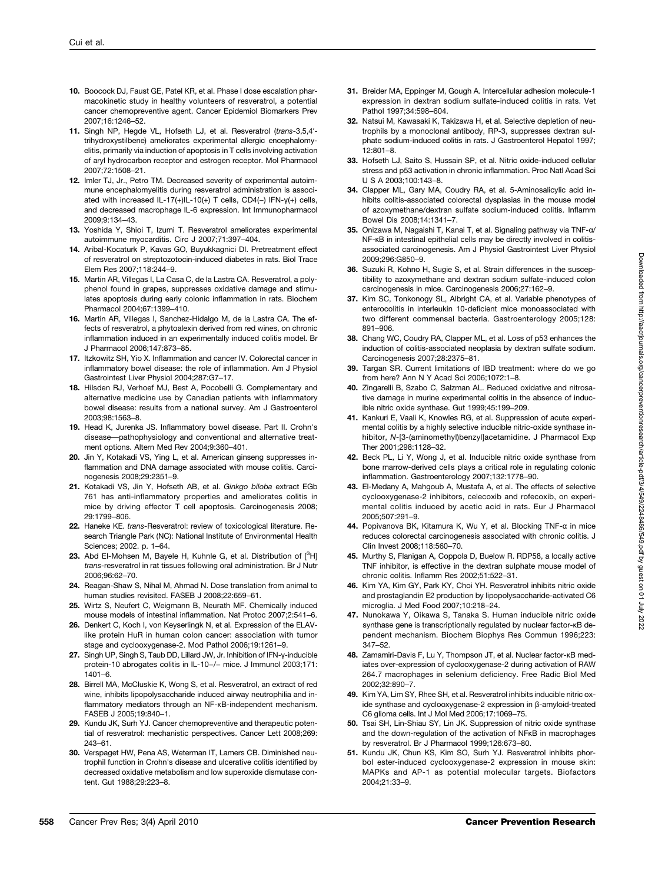- 10. Boocock DJ, Faust GE, Patel KR, et al. Phase I dose escalation pharmacokinetic study in healthy volunteers of resveratrol, a potential cancer chemopreventive agent. Cancer Epidemiol Biomarkers Prev 2007;16:1246–52.
- 11. Singh NP, Hegde VL, Hofseth LJ, et al. Resveratrol (trans-3,5,4′ trihydroxystilbene) ameliorates experimental allergic encephalomyelitis, primarily via induction of apoptosis in T cells involving activation of aryl hydrocarbon receptor and estrogen receptor. Mol Pharmacol 2007;72:1508–21.
- 12. Imler TJ, Jr., Petro TM. Decreased severity of experimental autoimmune encephalomyelitis during resveratrol administration is associated with increased IL-17(+)IL-10(+) T cells, CD4(−) IFN-γ(+) cells, and decreased macrophage IL-6 expression. Int Immunopharmacol 2009;9:134–43.
- 13. Yoshida Y, Shioi T, Izumi T. Resveratrol ameliorates experimental autoimmune myocarditis. Circ J 2007;71:397–404.
- 14. Aribal-Kocaturk P, Kavas GO, Buyukkagnici DI. Pretreatment effect of resveratrol on streptozotocin-induced diabetes in rats. Biol Trace Elem Res 2007;118:244–9.
- 15. Martin AR, Villegas I, La Casa C, de la Lastra CA. Resveratrol, a polyphenol found in grapes, suppresses oxidative damage and stimulates apoptosis during early colonic inflammation in rats. Biochem Pharmacol 2004;67:1399–410.
- 16. Martin AR, Villegas I, Sanchez-Hidalgo M, de la Lastra CA. The effects of resveratrol, a phytoalexin derived from red wines, on chronic inflammation induced in an experimentally induced colitis model. Br J Pharmacol 2006;147:873–85.
- 17. Itzkowitz SH, Yio X. Inflammation and cancer IV. Colorectal cancer in inflammatory bowel disease: the role of inflammation. Am J Physiol Gastrointest Liver Physiol 2004;287:G7–17.
- 18. Hilsden RJ, Verhoef MJ, Best A, Pocobelli G. Complementary and alternative medicine use by Canadian patients with inflammatory bowel disease: results from a national survey. Am J Gastroenterol 2003;98:1563–8.
- 19. Head K, Jurenka JS. Inflammatory bowel disease. Part II. Crohn's disease—pathophysiology and conventional and alternative treatment options. Altern Med Rev 2004;9:360–401.
- 20. Jin Y, Kotakadi VS, Ying L, et al. American ginseng suppresses inflammation and DNA damage associated with mouse colitis. Carcinogenesis 2008;29:2351–9.
- 21. Kotakadi VS, Jin Y, Hofseth AB, et al. Ginkgo biloba extract EGb 761 has anti-inflammatory properties and ameliorates colitis in mice by driving effector T cell apoptosis. Carcinogenesis 2008; 29:1799–806.
- 22. Haneke KE. trans-Resveratrol: review of toxicological literature. Research Triangle Park (NC): National Institute of Environmental Health Sciences; 2002. p. 1–64.
- 23. Abd El-Mohsen M, Bayele H, Kuhnle G, et al. Distribution of  $[^3H]$ trans-resveratrol in rat tissues following oral administration. Br J Nutr 2006;96:62–70.
- 24. Reagan-Shaw S, Nihal M, Ahmad N. Dose translation from animal to human studies revisited. FASEB J 2008;22:659–61.
- 25. Wirtz S, Neufert C, Weigmann B, Neurath MF. Chemically induced mouse models of intestinal inflammation. Nat Protoc 2007;2:541–6.
- 26. Denkert C, Koch I, von Keyserlingk N, et al. Expression of the ELAVlike protein HuR in human colon cancer: association with tumor stage and cyclooxygenase-2. Mod Pathol 2006;19:1261–9.
- 27. Singh UP, Singh S, Taub DD, Lillard JW, Jr. Inhibition of IFN-y-inducible protein-10 abrogates colitis in IL-10-/- mice. J Immunol 2003;171: 1401–6.
- 28. Birrell MA, McCluskie K, Wong S, et al. Resveratrol, an extract of red wine, inhibits lipopolysaccharide induced airway neutrophilia and inflammatory mediators through an NF-κB-independent mechanism. FASEB J 2005;19:840–1.
- 29. Kundu JK, Surh YJ. Cancer chemopreventive and therapeutic potential of resveratrol: mechanistic perspectives. Cancer Lett 2008;269: 243–61.
- 30. Verspaget HW, Pena AS, Weterman IT, Lamers CB. Diminished neutrophil function in Crohn's disease and ulcerative colitis identified by decreased oxidative metabolism and low superoxide dismutase content. Gut 1988;29:223–8.
- 31. Breider MA, Eppinger M, Gough A. Intercellular adhesion molecule-1 expression in dextran sodium sulfate-induced colitis in rats. Vet Pathol 1997;34:598–604.
- 32. Natsui M, Kawasaki K, Takizawa H, et al. Selective depletion of neutrophils by a monoclonal antibody, RP-3, suppresses dextran sulphate sodium-induced colitis in rats. J Gastroenterol Hepatol 1997; 12:801–8.
- 33. Hofseth LJ, Saito S, Hussain SP, et al. Nitric oxide-induced cellular stress and p53 activation in chronic inflammation. Proc Natl Acad Sci U S A 2003;100:143–8.
- 34. Clapper ML, Gary MA, Coudry RA, et al. 5-Aminosalicylic acid inhibits colitis-associated colorectal dysplasias in the mouse model of azoxymethane/dextran sulfate sodium-induced colitis. Inflamm Bowel Dis 2008;14:1341–7.
- 35. Onizawa M, Nagaishi T, Kanai T, et al. Signaling pathway via TNF-α/ NF-κB in intestinal epithelial cells may be directly involved in colitisassociated carcinogenesis. Am J Physiol Gastrointest Liver Physiol 2009;296:G850–9.
- 36. Suzuki R, Kohno H, Sugie S, et al. Strain differences in the susceptibility to azoxymethane and dextran sodium sulfate-induced colon carcinogenesis in mice. Carcinogenesis 2006;27:162–9.
- 37. Kim SC, Tonkonogy SL, Albright CA, et al. Variable phenotypes of enterocolitis in interleukin 10-deficient mice monoassociated with two different commensal bacteria. Gastroenterology 2005;128: 891–906.
- 38. Chang WC, Coudry RA, Clapper ML, et al. Loss of p53 enhances the induction of colitis-associated neoplasia by dextran sulfate sodium. Carcinogenesis 2007;28:2375–81.
- 39. Targan SR. Current limitations of IBD treatment: where do we go from here? Ann N Y Acad Sci 2006;1072:1–8.
- Zingarelli B, Szabo C, Salzman AL. Reduced oxidative and nitrosative damage in murine experimental colitis in the absence of inducible nitric oxide synthase. Gut 1999;45:199–209.
- 41. Kankuri E, Vaali K, Knowles RG, et al. Suppression of acute experimental colitis by a highly selective inducible nitric-oxide synthase inhibitor, N-[3-(aminomethyl)benzyl]acetamidine. J Pharmacol Exp Ther 2001;298:1128–32.
- 42. Beck PL, Li Y, Wong J, et al. Inducible nitric oxide synthase from bone marrow-derived cells plays a critical role in regulating colonic inflammation. Gastroenterology 2007;132:1778–90.
- 43. El-Medany A, Mahgoub A, Mustafa A, et al. The effects of selective cyclooxygenase-2 inhibitors, celecoxib and rofecoxib, on experimental colitis induced by acetic acid in rats. Eur J Pharmacol 2005;507:291–9.
- 44. Popivanova BK, Kitamura K, Wu Y, et al. Blocking TNF-α in mice reduces colorectal carcinogenesis associated with chronic colitis. J Clin Invest 2008;118:560–70.
- 45. Murthy S, Flanigan A, Coppola D, Buelow R. RDP58, a locally active TNF inhibitor, is effective in the dextran sulphate mouse model of chronic colitis. Inflamm Res 2002;51:522–31.
- 46. Kim YA, Kim GY, Park KY, Choi YH. Resveratrol inhibits nitric oxide and prostaglandin E2 production by lipopolysaccharide-activated C6 microglia. J Med Food 2007;10:218–24.
- 47. Nunokawa Y, Oikawa S, Tanaka S. Human inducible nitric oxide synthase gene is transcriptionally regulated by nuclear factor-κB dependent mechanism. Biochem Biophys Res Commun 1996;223: 347–52.
- 48. Zamamiri-Davis F, Lu Y, Thompson JT, et al. Nuclear factor-κB mediates over-expression of cyclooxygenase-2 during activation of RAW 264.7 macrophages in selenium deficiency. Free Radic Biol Med 2002;32:890–7.
- 49. Kim YA, Lim SY, Rhee SH, et al. Resveratrol inhibits inducible nitric oxide synthase and cyclooxygenase-2 expression in β-amyloid-treated C6 glioma cells. Int J Mol Med 2006;17:1069–75.
- 50. Tsai SH, Lin-Shiau SY, Lin JK. Suppression of nitric oxide synthase and the down-regulation of the activation of NFκB in macrophages by resveratrol. Br J Pharmacol 1999;126:673–80.
- 51. Kundu JK, Chun KS, Kim SO, Surh YJ. Resveratrol inhibits phorbol ester-induced cyclooxygenase-2 expression in mouse skin: MAPKs and AP-1 as potential molecular targets. Biofactors 2004;21:33–9.